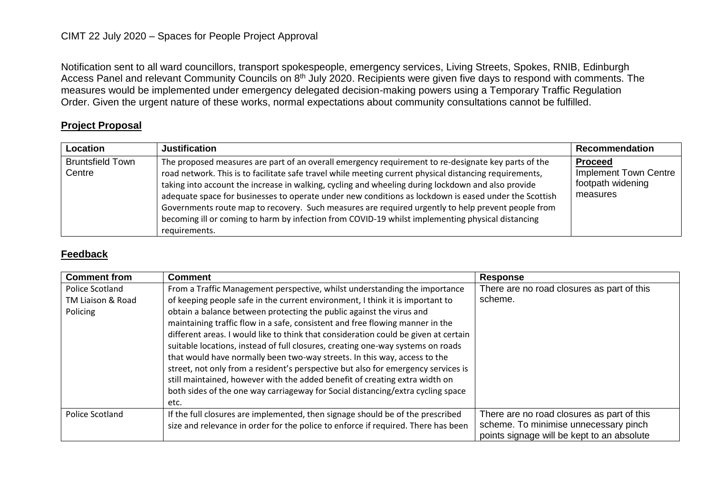## CIMT 22 July 2020 – Spaces for People Project Approval

Notification sent to all ward councillors, transport spokespeople, emergency services, Living Streets, Spokes, RNIB, Edinburgh Access Panel and relevant Community Councils on 8<sup>th</sup> July 2020. Recipients were given five days to respond with comments. The measures would be implemented under emergency delegated decision-making powers using a Temporary Traffic Regulation Order. Given the urgent nature of these works, normal expectations about community consultations cannot be fulfilled.

## **Project Proposal**

| Location                          | <b>Justification</b>                                                                                                                                                                                                                                                                                                                                                                                                                                                                                                                                                                                                                                      | <b>Recommendation</b>                                                    |
|-----------------------------------|-----------------------------------------------------------------------------------------------------------------------------------------------------------------------------------------------------------------------------------------------------------------------------------------------------------------------------------------------------------------------------------------------------------------------------------------------------------------------------------------------------------------------------------------------------------------------------------------------------------------------------------------------------------|--------------------------------------------------------------------------|
| <b>Bruntsfield Town</b><br>Centre | The proposed measures are part of an overall emergency requirement to re-designate key parts of the<br>road network. This is to facilitate safe travel while meeting current physical distancing requirements,<br>taking into account the increase in walking, cycling and wheeling during lockdown and also provide<br>adequate space for businesses to operate under new conditions as lockdown is eased under the Scottish<br>Governments route map to recovery. Such measures are required urgently to help prevent people from<br>becoming ill or coming to harm by infection from COVID-19 whilst implementing physical distancing<br>requirements. | <b>Proceed</b><br>Implement Town Centre<br>footpath widening<br>measures |

## **Feedback**

| <b>Comment from</b>                              | <b>Comment</b>                                                                                                                                                                                                                                                                                                                                                                                                                                                                                                                                                                                                                                                                                                                                                                                                                             | <b>Response</b>                                                                                                                   |
|--------------------------------------------------|--------------------------------------------------------------------------------------------------------------------------------------------------------------------------------------------------------------------------------------------------------------------------------------------------------------------------------------------------------------------------------------------------------------------------------------------------------------------------------------------------------------------------------------------------------------------------------------------------------------------------------------------------------------------------------------------------------------------------------------------------------------------------------------------------------------------------------------------|-----------------------------------------------------------------------------------------------------------------------------------|
| Police Scotland<br>TM Liaison & Road<br>Policing | From a Traffic Management perspective, whilst understanding the importance<br>of keeping people safe in the current environment, I think it is important to<br>obtain a balance between protecting the public against the virus and<br>maintaining traffic flow in a safe, consistent and free flowing manner in the<br>different areas. I would like to think that consideration could be given at certain<br>suitable locations, instead of full closures, creating one-way systems on roads<br>that would have normally been two-way streets. In this way, access to the<br>street, not only from a resident's perspective but also for emergency services is<br>still maintained, however with the added benefit of creating extra width on<br>both sides of the one way carriageway for Social distancing/extra cycling space<br>etc. | There are no road closures as part of this<br>scheme.                                                                             |
| Police Scotland                                  | If the full closures are implemented, then signage should be of the prescribed<br>size and relevance in order for the police to enforce if required. There has been                                                                                                                                                                                                                                                                                                                                                                                                                                                                                                                                                                                                                                                                        | There are no road closures as part of this<br>scheme. To minimise unnecessary pinch<br>points signage will be kept to an absolute |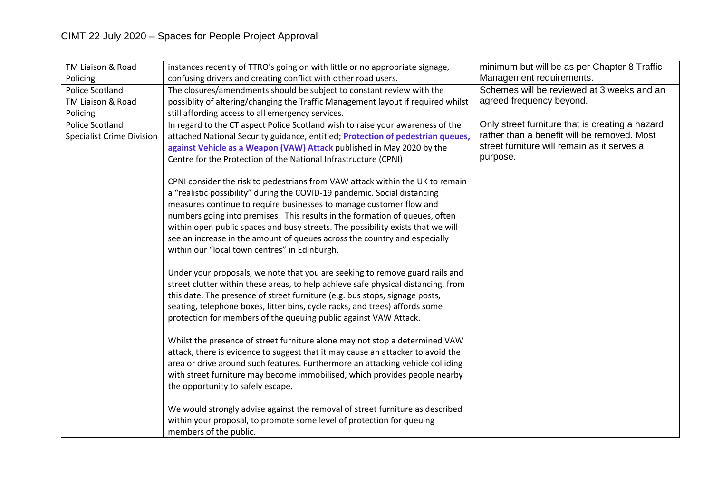| TM Liaison & Road                | instances recently of TTRO's going on with little or no appropriate signage,      | minimum but will be as per Chapter 8 Traffic                                               |
|----------------------------------|-----------------------------------------------------------------------------------|--------------------------------------------------------------------------------------------|
| Policing                         | confusing drivers and creating conflict with other road users.                    | Management requirements.                                                                   |
| Police Scotland                  | The closures/amendments should be subject to constant review with the             | Schemes will be reviewed at 3 weeks and an                                                 |
| TM Liaison & Road                | possiblity of altering/changing the Traffic Management layout if required whilst  | agreed frequency beyond.                                                                   |
| Policing                         | still affording access to all emergency services.                                 |                                                                                            |
| <b>Police Scotland</b>           | In regard to the CT aspect Police Scotland wish to raise your awareness of the    | Only street furniture that is creating a hazard                                            |
| <b>Specialist Crime Division</b> | attached National Security guidance, entitled; Protection of pedestrian queues,   | rather than a benefit will be removed. Most<br>street furniture will remain as it serves a |
|                                  | against Vehicle as a Weapon (VAW) Attack published in May 2020 by the             | purpose.                                                                                   |
|                                  | Centre for the Protection of the National Infrastructure (CPNI)                   |                                                                                            |
|                                  | CPNI consider the risk to pedestrians from VAW attack within the UK to remain     |                                                                                            |
|                                  | a "realistic possibility" during the COVID-19 pandemic. Social distancing         |                                                                                            |
|                                  | measures continue to require businesses to manage customer flow and               |                                                                                            |
|                                  | numbers going into premises. This results in the formation of queues, often       |                                                                                            |
|                                  | within open public spaces and busy streets. The possibility exists that we will   |                                                                                            |
|                                  | see an increase in the amount of queues across the country and especially         |                                                                                            |
|                                  | within our "local town centres" in Edinburgh.                                     |                                                                                            |
|                                  |                                                                                   |                                                                                            |
|                                  | Under your proposals, we note that you are seeking to remove guard rails and      |                                                                                            |
|                                  | street clutter within these areas, to help achieve safe physical distancing, from |                                                                                            |
|                                  | this date. The presence of street furniture (e.g. bus stops, signage posts,       |                                                                                            |
|                                  | seating, telephone boxes, litter bins, cycle racks, and trees) affords some       |                                                                                            |
|                                  | protection for members of the queuing public against VAW Attack.                  |                                                                                            |
|                                  | Whilst the presence of street furniture alone may not stop a determined VAW       |                                                                                            |
|                                  | attack, there is evidence to suggest that it may cause an attacker to avoid the   |                                                                                            |
|                                  | area or drive around such features. Furthermore an attacking vehicle colliding    |                                                                                            |
|                                  | with street furniture may become immobilised, which provides people nearby        |                                                                                            |
|                                  | the opportunity to safely escape.                                                 |                                                                                            |
|                                  |                                                                                   |                                                                                            |
|                                  | We would strongly advise against the removal of street furniture as described     |                                                                                            |
|                                  | within your proposal, to promote some level of protection for queuing             |                                                                                            |
|                                  | members of the public.                                                            |                                                                                            |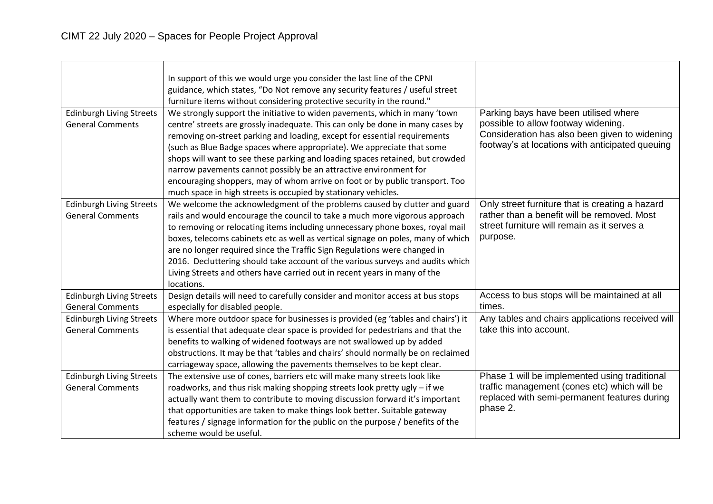| <b>Edinburgh Living Streets</b><br><b>General Comments</b> | In support of this we would urge you consider the last line of the CPNI<br>guidance, which states, "Do Not remove any security features / useful street<br>furniture items without considering protective security in the round."<br>We strongly support the initiative to widen pavements, which in many 'town<br>centre' streets are grossly inadequate. This can only be done in many cases by<br>removing on-street parking and loading, except for essential requirements<br>(such as Blue Badge spaces where appropriate). We appreciate that some<br>shops will want to see these parking and loading spaces retained, but crowded<br>narrow pavements cannot possibly be an attractive environment for<br>encouraging shoppers, may of whom arrive on foot or by public transport. Too<br>much space in high streets is occupied by stationary vehicles. | Parking bays have been utilised where<br>possible to allow footway widening.<br>Consideration has also been given to widening<br>footway's at locations with anticipated queuing |
|------------------------------------------------------------|------------------------------------------------------------------------------------------------------------------------------------------------------------------------------------------------------------------------------------------------------------------------------------------------------------------------------------------------------------------------------------------------------------------------------------------------------------------------------------------------------------------------------------------------------------------------------------------------------------------------------------------------------------------------------------------------------------------------------------------------------------------------------------------------------------------------------------------------------------------|----------------------------------------------------------------------------------------------------------------------------------------------------------------------------------|
| <b>Edinburgh Living Streets</b><br><b>General Comments</b> | We welcome the acknowledgment of the problems caused by clutter and guard<br>rails and would encourage the council to take a much more vigorous approach<br>to removing or relocating items including unnecessary phone boxes, royal mail<br>boxes, telecoms cabinets etc as well as vertical signage on poles, many of which<br>are no longer required since the Traffic Sign Regulations were changed in<br>2016. Decluttering should take account of the various surveys and audits which<br>Living Streets and others have carried out in recent years in many of the<br>locations.                                                                                                                                                                                                                                                                          | Only street furniture that is creating a hazard<br>rather than a benefit will be removed. Most<br>street furniture will remain as it serves a<br>purpose.                        |
| <b>Edinburgh Living Streets</b><br><b>General Comments</b> | Design details will need to carefully consider and monitor access at bus stops<br>especially for disabled people.                                                                                                                                                                                                                                                                                                                                                                                                                                                                                                                                                                                                                                                                                                                                                | Access to bus stops will be maintained at all<br>times.                                                                                                                          |
| <b>Edinburgh Living Streets</b><br><b>General Comments</b> | Where more outdoor space for businesses is provided (eg 'tables and chairs') it<br>is essential that adequate clear space is provided for pedestrians and that the<br>benefits to walking of widened footways are not swallowed up by added<br>obstructions. It may be that 'tables and chairs' should normally be on reclaimed<br>carriageway space, allowing the pavements themselves to be kept clear.                                                                                                                                                                                                                                                                                                                                                                                                                                                        | Any tables and chairs applications received will<br>take this into account.                                                                                                      |
| <b>Edinburgh Living Streets</b><br><b>General Comments</b> | The extensive use of cones, barriers etc will make many streets look like<br>roadworks, and thus risk making shopping streets look pretty ugly - if we<br>actually want them to contribute to moving discussion forward it's important<br>that opportunities are taken to make things look better. Suitable gateway<br>features / signage information for the public on the purpose / benefits of the<br>scheme would be useful.                                                                                                                                                                                                                                                                                                                                                                                                                                 | Phase 1 will be implemented using traditional<br>traffic management (cones etc) which will be<br>replaced with semi-permanent features during<br>phase 2.                        |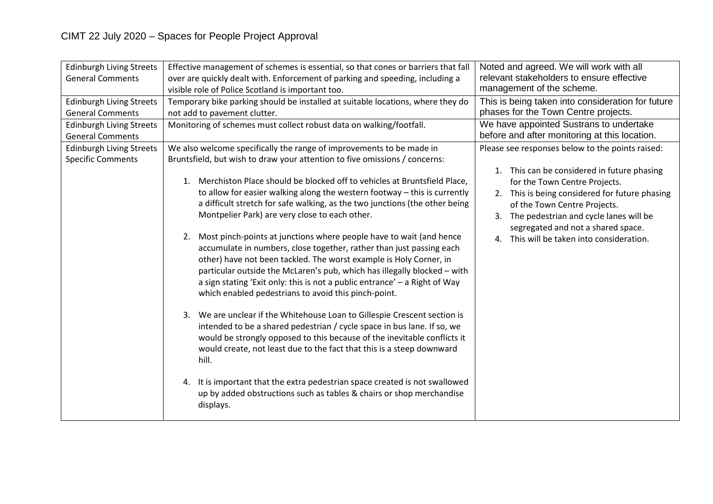| <b>Edinburgh Living Streets</b><br><b>General Comments</b>  | Effective management of schemes is essential, so that cones or barriers that fall<br>over are quickly dealt with. Enforcement of parking and speeding, including a<br>visible role of Police Scotland is important too.                                                                                                                                                                                                                                                                                                                                                                                                                                                                                                                                                                                                                                                                                                                                                                                                                                                                                                                                                                                                                                                                                                                                                                     | Noted and agreed. We will work with all<br>relevant stakeholders to ensure effective<br>management of the scheme.                                                                                                                                                                                                                                  |
|-------------------------------------------------------------|---------------------------------------------------------------------------------------------------------------------------------------------------------------------------------------------------------------------------------------------------------------------------------------------------------------------------------------------------------------------------------------------------------------------------------------------------------------------------------------------------------------------------------------------------------------------------------------------------------------------------------------------------------------------------------------------------------------------------------------------------------------------------------------------------------------------------------------------------------------------------------------------------------------------------------------------------------------------------------------------------------------------------------------------------------------------------------------------------------------------------------------------------------------------------------------------------------------------------------------------------------------------------------------------------------------------------------------------------------------------------------------------|----------------------------------------------------------------------------------------------------------------------------------------------------------------------------------------------------------------------------------------------------------------------------------------------------------------------------------------------------|
| <b>Edinburgh Living Streets</b><br><b>General Comments</b>  | Temporary bike parking should be installed at suitable locations, where they do<br>not add to pavement clutter.                                                                                                                                                                                                                                                                                                                                                                                                                                                                                                                                                                                                                                                                                                                                                                                                                                                                                                                                                                                                                                                                                                                                                                                                                                                                             | This is being taken into consideration for future<br>phases for the Town Centre projects.                                                                                                                                                                                                                                                          |
| <b>Edinburgh Living Streets</b><br><b>General Comments</b>  | Monitoring of schemes must collect robust data on walking/footfall.                                                                                                                                                                                                                                                                                                                                                                                                                                                                                                                                                                                                                                                                                                                                                                                                                                                                                                                                                                                                                                                                                                                                                                                                                                                                                                                         | We have appointed Sustrans to undertake<br>before and after monitoring at this location.                                                                                                                                                                                                                                                           |
| <b>Edinburgh Living Streets</b><br><b>Specific Comments</b> | We also welcome specifically the range of improvements to be made in<br>Bruntsfield, but wish to draw your attention to five omissions / concerns:<br>Merchiston Place should be blocked off to vehicles at Bruntsfield Place,<br>1.<br>to allow for easier walking along the western footway - this is currently<br>a difficult stretch for safe walking, as the two junctions (the other being<br>Montpelier Park) are very close to each other.<br>Most pinch-points at junctions where people have to wait (and hence<br>2.<br>accumulate in numbers, close together, rather than just passing each<br>other) have not been tackled. The worst example is Holy Corner, in<br>particular outside the McLaren's pub, which has illegally blocked - with<br>a sign stating 'Exit only: this is not a public entrance' $-$ a Right of Way<br>which enabled pedestrians to avoid this pinch-point.<br>3. We are unclear if the Whitehouse Loan to Gillespie Crescent section is<br>intended to be a shared pedestrian / cycle space in bus lane. If so, we<br>would be strongly opposed to this because of the inevitable conflicts it<br>would create, not least due to the fact that this is a steep downward<br>hill.<br>4. It is important that the extra pedestrian space created is not swallowed<br>up by added obstructions such as tables & chairs or shop merchandise<br>displays. | Please see responses below to the points raised:<br>1. This can be considered in future phasing<br>for the Town Centre Projects.<br>2. This is being considered for future phasing<br>of the Town Centre Projects.<br>3. The pedestrian and cycle lanes will be<br>segregated and not a shared space.<br>4. This will be taken into consideration. |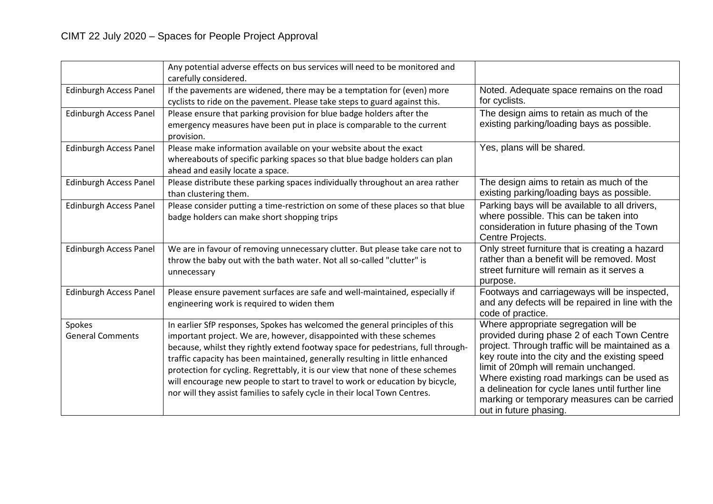|                                   | Any potential adverse effects on bus services will need to be monitored and<br>carefully considered.                                                                                                                                                                                                                                                                                                                                                                                                                                                                     |                                                                                                                                                                                                                                                                                                                                                                                                                  |
|-----------------------------------|--------------------------------------------------------------------------------------------------------------------------------------------------------------------------------------------------------------------------------------------------------------------------------------------------------------------------------------------------------------------------------------------------------------------------------------------------------------------------------------------------------------------------------------------------------------------------|------------------------------------------------------------------------------------------------------------------------------------------------------------------------------------------------------------------------------------------------------------------------------------------------------------------------------------------------------------------------------------------------------------------|
| <b>Edinburgh Access Panel</b>     | If the pavements are widened, there may be a temptation for (even) more<br>cyclists to ride on the pavement. Please take steps to guard against this.                                                                                                                                                                                                                                                                                                                                                                                                                    | Noted. Adequate space remains on the road<br>for cyclists.                                                                                                                                                                                                                                                                                                                                                       |
| <b>Edinburgh Access Panel</b>     | Please ensure that parking provision for blue badge holders after the<br>emergency measures have been put in place is comparable to the current<br>provision.                                                                                                                                                                                                                                                                                                                                                                                                            | The design aims to retain as much of the<br>existing parking/loading bays as possible.                                                                                                                                                                                                                                                                                                                           |
| <b>Edinburgh Access Panel</b>     | Please make information available on your website about the exact<br>whereabouts of specific parking spaces so that blue badge holders can plan<br>ahead and easily locate a space.                                                                                                                                                                                                                                                                                                                                                                                      | Yes, plans will be shared.                                                                                                                                                                                                                                                                                                                                                                                       |
| <b>Edinburgh Access Panel</b>     | Please distribute these parking spaces individually throughout an area rather<br>than clustering them.                                                                                                                                                                                                                                                                                                                                                                                                                                                                   | The design aims to retain as much of the<br>existing parking/loading bays as possible.                                                                                                                                                                                                                                                                                                                           |
| <b>Edinburgh Access Panel</b>     | Please consider putting a time-restriction on some of these places so that blue<br>badge holders can make short shopping trips                                                                                                                                                                                                                                                                                                                                                                                                                                           | Parking bays will be available to all drivers,<br>where possible. This can be taken into<br>consideration in future phasing of the Town<br>Centre Projects.                                                                                                                                                                                                                                                      |
| <b>Edinburgh Access Panel</b>     | We are in favour of removing unnecessary clutter. But please take care not to<br>throw the baby out with the bath water. Not all so-called "clutter" is<br>unnecessary                                                                                                                                                                                                                                                                                                                                                                                                   | Only street furniture that is creating a hazard<br>rather than a benefit will be removed. Most<br>street furniture will remain as it serves a<br>purpose.                                                                                                                                                                                                                                                        |
| <b>Edinburgh Access Panel</b>     | Please ensure pavement surfaces are safe and well-maintained, especially if<br>engineering work is required to widen them                                                                                                                                                                                                                                                                                                                                                                                                                                                | Footways and carriageways will be inspected,<br>and any defects will be repaired in line with the<br>code of practice.                                                                                                                                                                                                                                                                                           |
| Spokes<br><b>General Comments</b> | In earlier SfP responses, Spokes has welcomed the general principles of this<br>important project. We are, however, disappointed with these schemes<br>because, whilst they rightly extend footway space for pedestrians, full through-<br>traffic capacity has been maintained, generally resulting in little enhanced<br>protection for cycling. Regrettably, it is our view that none of these schemes<br>will encourage new people to start to travel to work or education by bicycle,<br>nor will they assist families to safely cycle in their local Town Centres. | Where appropriate segregation will be<br>provided during phase 2 of each Town Centre<br>project. Through traffic will be maintained as a<br>key route into the city and the existing speed<br>limit of 20mph will remain unchanged.<br>Where existing road markings can be used as<br>a delineation for cycle lanes until further line<br>marking or temporary measures can be carried<br>out in future phasing. |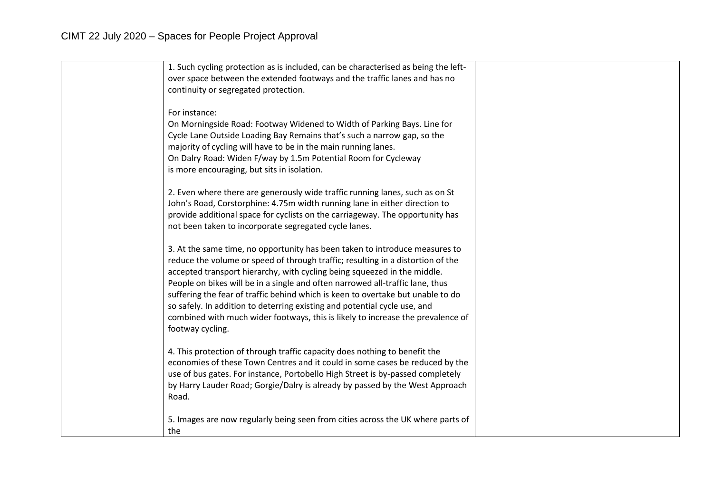| 1. Such cycling protection as is included, can be characterised as being the left-<br>over space between the extended footways and the traffic lanes and has no                                                                                                                                                                                                                                                                                                                                                                                                                                    |  |
|----------------------------------------------------------------------------------------------------------------------------------------------------------------------------------------------------------------------------------------------------------------------------------------------------------------------------------------------------------------------------------------------------------------------------------------------------------------------------------------------------------------------------------------------------------------------------------------------------|--|
| continuity or segregated protection.                                                                                                                                                                                                                                                                                                                                                                                                                                                                                                                                                               |  |
| For instance:<br>On Morningside Road: Footway Widened to Width of Parking Bays. Line for<br>Cycle Lane Outside Loading Bay Remains that's such a narrow gap, so the<br>majority of cycling will have to be in the main running lanes.<br>On Dalry Road: Widen F/way by 1.5m Potential Room for Cycleway<br>is more encouraging, but sits in isolation.                                                                                                                                                                                                                                             |  |
| 2. Even where there are generously wide traffic running lanes, such as on St<br>John's Road, Corstorphine: 4.75m width running lane in either direction to<br>provide additional space for cyclists on the carriageway. The opportunity has<br>not been taken to incorporate segregated cycle lanes.                                                                                                                                                                                                                                                                                               |  |
| 3. At the same time, no opportunity has been taken to introduce measures to<br>reduce the volume or speed of through traffic; resulting in a distortion of the<br>accepted transport hierarchy, with cycling being squeezed in the middle.<br>People on bikes will be in a single and often narrowed all-traffic lane, thus<br>suffering the fear of traffic behind which is keen to overtake but unable to do<br>so safely. In addition to deterring existing and potential cycle use, and<br>combined with much wider footways, this is likely to increase the prevalence of<br>footway cycling. |  |
| 4. This protection of through traffic capacity does nothing to benefit the<br>economies of these Town Centres and it could in some cases be reduced by the<br>use of bus gates. For instance, Portobello High Street is by-passed completely<br>by Harry Lauder Road; Gorgie/Dalry is already by passed by the West Approach<br>Road.                                                                                                                                                                                                                                                              |  |
| 5. Images are now regularly being seen from cities across the UK where parts of<br>the                                                                                                                                                                                                                                                                                                                                                                                                                                                                                                             |  |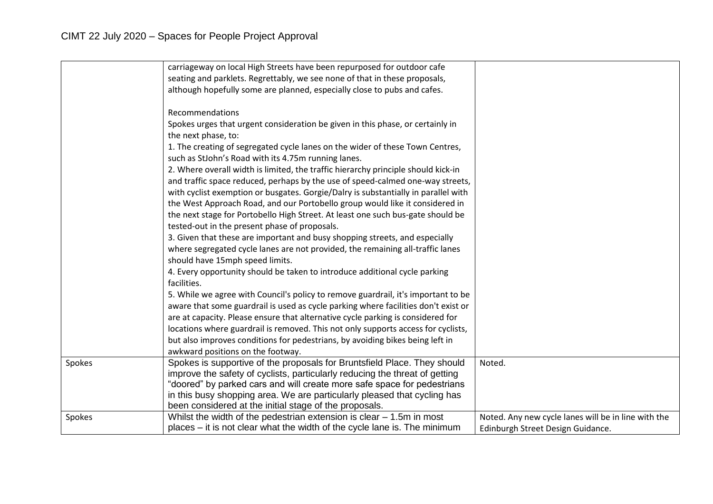|        | carriageway on local High Streets have been repurposed for outdoor cafe            |                                                     |
|--------|------------------------------------------------------------------------------------|-----------------------------------------------------|
|        | seating and parklets. Regrettably, we see none of that in these proposals,         |                                                     |
|        | although hopefully some are planned, especially close to pubs and cafes.           |                                                     |
|        |                                                                                    |                                                     |
|        | Recommendations                                                                    |                                                     |
|        | Spokes urges that urgent consideration be given in this phase, or certainly in     |                                                     |
|        | the next phase, to:                                                                |                                                     |
|        | 1. The creating of segregated cycle lanes on the wider of these Town Centres,      |                                                     |
|        | such as StJohn's Road with its 4.75m running lanes.                                |                                                     |
|        | 2. Where overall width is limited, the traffic hierarchy principle should kick-in  |                                                     |
|        | and traffic space reduced, perhaps by the use of speed-calmed one-way streets,     |                                                     |
|        | with cyclist exemption or busgates. Gorgie/Dalry is substantially in parallel with |                                                     |
|        | the West Approach Road, and our Portobello group would like it considered in       |                                                     |
|        | the next stage for Portobello High Street. At least one such bus-gate should be    |                                                     |
|        | tested-out in the present phase of proposals.                                      |                                                     |
|        | 3. Given that these are important and busy shopping streets, and especially        |                                                     |
|        | where segregated cycle lanes are not provided, the remaining all-traffic lanes     |                                                     |
|        |                                                                                    |                                                     |
|        | should have 15mph speed limits.                                                    |                                                     |
|        | 4. Every opportunity should be taken to introduce additional cycle parking         |                                                     |
|        | facilities.                                                                        |                                                     |
|        | 5. While we agree with Council's policy to remove guardrail, it's important to be  |                                                     |
|        | aware that some guardrail is used as cycle parking where facilities don't exist or |                                                     |
|        | are at capacity. Please ensure that alternative cycle parking is considered for    |                                                     |
|        | locations where guardrail is removed. This not only supports access for cyclists,  |                                                     |
|        | but also improves conditions for pedestrians, by avoiding bikes being left in      |                                                     |
|        | awkward positions on the footway.                                                  |                                                     |
| Spokes | Spokes is supportive of the proposals for Bruntsfield Place. They should           | Noted.                                              |
|        | improve the safety of cyclists, particularly reducing the threat of getting        |                                                     |
|        | "doored" by parked cars and will create more safe space for pedestrians            |                                                     |
|        | in this busy shopping area. We are particularly pleased that cycling has           |                                                     |
|        | been considered at the initial stage of the proposals.                             |                                                     |
| Spokes | Whilst the width of the pedestrian extension is clear $-1.5$ m in most             | Noted. Any new cycle lanes will be in line with the |
|        | places – it is not clear what the width of the cycle lane is. The minimum          | Edinburgh Street Design Guidance.                   |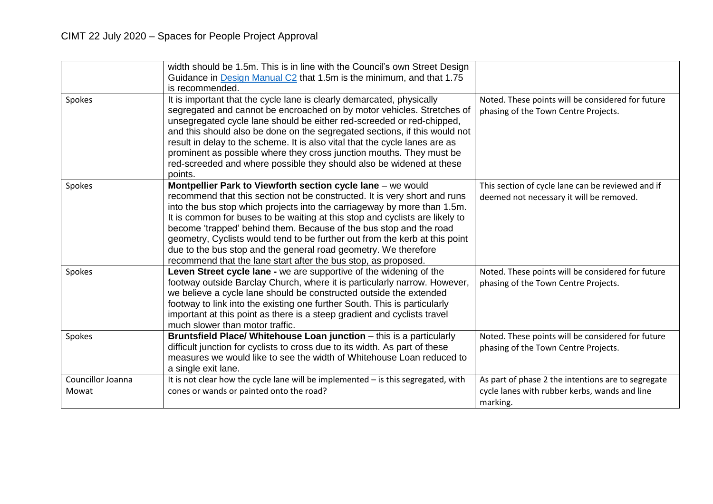|                            | width should be 1.5m. This is in line with the Council's own Street Design<br>Guidance in Design Manual C2 that 1.5m is the minimum, and that 1.75<br>is recommended.                                                                                                                                                                                                                                                                                                                                                                                                                          |                                                                                                                 |
|----------------------------|------------------------------------------------------------------------------------------------------------------------------------------------------------------------------------------------------------------------------------------------------------------------------------------------------------------------------------------------------------------------------------------------------------------------------------------------------------------------------------------------------------------------------------------------------------------------------------------------|-----------------------------------------------------------------------------------------------------------------|
| Spokes                     | It is important that the cycle lane is clearly demarcated, physically<br>segregated and cannot be encroached on by motor vehicles. Stretches of<br>unsegregated cycle lane should be either red-screeded or red-chipped,<br>and this should also be done on the segregated sections, if this would not<br>result in delay to the scheme. It is also vital that the cycle lanes are as<br>prominent as possible where they cross junction mouths. They must be<br>red-screeded and where possible they should also be widened at these<br>points.                                               | Noted. These points will be considered for future<br>phasing of the Town Centre Projects.                       |
| Spokes                     | Montpellier Park to Viewforth section cycle lane - we would<br>recommend that this section not be constructed. It is very short and runs<br>into the bus stop which projects into the carriageway by more than 1.5m.<br>It is common for buses to be waiting at this stop and cyclists are likely to<br>become 'trapped' behind them. Because of the bus stop and the road<br>geometry, Cyclists would tend to be further out from the kerb at this point<br>due to the bus stop and the general road geometry. We therefore<br>recommend that the lane start after the bus stop, as proposed. | This section of cycle lane can be reviewed and if<br>deemed not necessary it will be removed.                   |
| Spokes                     | Leven Street cycle lane - we are supportive of the widening of the<br>footway outside Barclay Church, where it is particularly narrow. However,<br>we believe a cycle lane should be constructed outside the extended<br>footway to link into the existing one further South. This is particularly<br>important at this point as there is a steep gradient and cyclists travel<br>much slower than motor traffic.                                                                                                                                                                              | Noted. These points will be considered for future<br>phasing of the Town Centre Projects.                       |
| Spokes                     | Bruntsfield Place/ Whitehouse Loan junction - this is a particularly<br>difficult junction for cyclists to cross due to its width. As part of these<br>measures we would like to see the width of Whitehouse Loan reduced to<br>a single exit lane.                                                                                                                                                                                                                                                                                                                                            | Noted. These points will be considered for future<br>phasing of the Town Centre Projects.                       |
| Councillor Joanna<br>Mowat | It is not clear how the cycle lane will be implemented - is this segregated, with<br>cones or wands or painted onto the road?                                                                                                                                                                                                                                                                                                                                                                                                                                                                  | As part of phase 2 the intentions are to segregate<br>cycle lanes with rubber kerbs, wands and line<br>marking. |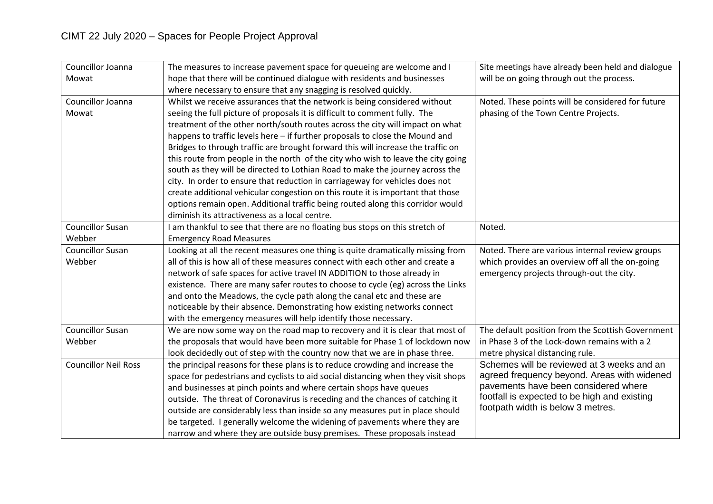| Councillor Joanna           | The measures to increase pavement space for queueing are welcome and I            | Site meetings have already been held and dialogue |
|-----------------------------|-----------------------------------------------------------------------------------|---------------------------------------------------|
| Mowat                       | hope that there will be continued dialogue with residents and businesses          | will be on going through out the process.         |
|                             | where necessary to ensure that any snagging is resolved quickly.                  |                                                   |
| Councillor Joanna           | Whilst we receive assurances that the network is being considered without         | Noted. These points will be considered for future |
| Mowat                       | seeing the full picture of proposals it is difficult to comment fully. The        | phasing of the Town Centre Projects.              |
|                             | treatment of the other north/south routes across the city will impact on what     |                                                   |
|                             | happens to traffic levels here - if further proposals to close the Mound and      |                                                   |
|                             | Bridges to through traffic are brought forward this will increase the traffic on  |                                                   |
|                             | this route from people in the north of the city who wish to leave the city going  |                                                   |
|                             | south as they will be directed to Lothian Road to make the journey across the     |                                                   |
|                             | city. In order to ensure that reduction in carriageway for vehicles does not      |                                                   |
|                             | create additional vehicular congestion on this route it is important that those   |                                                   |
|                             | options remain open. Additional traffic being routed along this corridor would    |                                                   |
|                             | diminish its attractiveness as a local centre.                                    |                                                   |
| <b>Councillor Susan</b>     | I am thankful to see that there are no floating bus stops on this stretch of      | Noted.                                            |
| Webber                      | <b>Emergency Road Measures</b>                                                    |                                                   |
| <b>Councillor Susan</b>     | Looking at all the recent measures one thing is quite dramatically missing from   | Noted. There are various internal review groups   |
| Webber                      | all of this is how all of these measures connect with each other and create a     | which provides an overview off all the on-going   |
|                             | network of safe spaces for active travel IN ADDITION to those already in          | emergency projects through-out the city.          |
|                             | existence. There are many safer routes to choose to cycle (eg) across the Links   |                                                   |
|                             | and onto the Meadows, the cycle path along the canal etc and these are            |                                                   |
|                             | noticeable by their absence. Demonstrating how existing networks connect          |                                                   |
|                             | with the emergency measures will help identify those necessary.                   |                                                   |
| <b>Councillor Susan</b>     | We are now some way on the road map to recovery and it is clear that most of      | The default position from the Scottish Government |
| Webber                      | the proposals that would have been more suitable for Phase 1 of lockdown now      | in Phase 3 of the Lock-down remains with a 2      |
|                             | look decidedly out of step with the country now that we are in phase three.       | metre physical distancing rule.                   |
| <b>Councillor Neil Ross</b> | the principal reasons for these plans is to reduce crowding and increase the      | Schemes will be reviewed at 3 weeks and an        |
|                             | space for pedestrians and cyclists to aid social distancing when they visit shops | agreed frequency beyond. Areas with widened       |
|                             | and businesses at pinch points and where certain shops have queues                | pavements have been considered where              |
|                             | outside. The threat of Coronavirus is receding and the chances of catching it     | footfall is expected to be high and existing      |
|                             | outside are considerably less than inside so any measures put in place should     | footpath width is below 3 metres.                 |
|                             | be targeted. I generally welcome the widening of pavements where they are         |                                                   |
|                             | narrow and where they are outside busy premises. These proposals instead          |                                                   |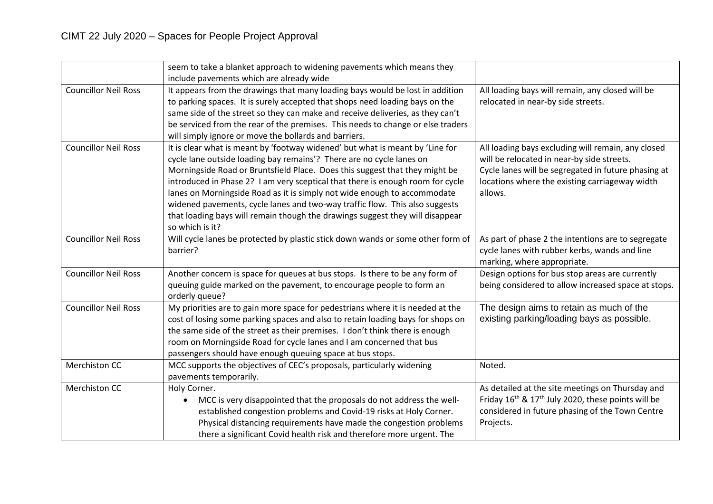|                             | seem to take a blanket approach to widening pavements which means they<br>include pavements which are already wide                                                                                                                                                                                                                                                                                                                                                                                                                                                                    |                                                                                                                                                                                                                      |
|-----------------------------|---------------------------------------------------------------------------------------------------------------------------------------------------------------------------------------------------------------------------------------------------------------------------------------------------------------------------------------------------------------------------------------------------------------------------------------------------------------------------------------------------------------------------------------------------------------------------------------|----------------------------------------------------------------------------------------------------------------------------------------------------------------------------------------------------------------------|
| <b>Councillor Neil Ross</b> | It appears from the drawings that many loading bays would be lost in addition<br>to parking spaces. It is surely accepted that shops need loading bays on the<br>same side of the street so they can make and receive deliveries, as they can't<br>be serviced from the rear of the premises. This needs to change or else traders<br>will simply ignore or move the bollards and barriers.                                                                                                                                                                                           | All loading bays will remain, any closed will be<br>relocated in near-by side streets.                                                                                                                               |
| <b>Councillor Neil Ross</b> | It is clear what is meant by 'footway widened' but what is meant by 'Line for<br>cycle lane outside loading bay remains'? There are no cycle lanes on<br>Morningside Road or Bruntsfield Place. Does this suggest that they might be<br>introduced in Phase 2? I am very sceptical that there is enough room for cycle<br>lanes on Morningside Road as it is simply not wide enough to accommodate<br>widened pavements, cycle lanes and two-way traffic flow. This also suggests<br>that loading bays will remain though the drawings suggest they will disappear<br>so which is it? | All loading bays excluding will remain, any closed<br>will be relocated in near-by side streets.<br>Cycle lanes will be segregated in future phasing at<br>locations where the existing carriageway width<br>allows. |
| <b>Councillor Neil Ross</b> | Will cycle lanes be protected by plastic stick down wands or some other form of<br>barrier?                                                                                                                                                                                                                                                                                                                                                                                                                                                                                           | As part of phase 2 the intentions are to segregate<br>cycle lanes with rubber kerbs, wands and line<br>marking, where appropriate.                                                                                   |
| <b>Councillor Neil Ross</b> | Another concern is space for queues at bus stops. Is there to be any form of<br>queuing guide marked on the pavement, to encourage people to form an<br>orderly queue?                                                                                                                                                                                                                                                                                                                                                                                                                | Design options for bus stop areas are currently<br>being considered to allow increased space at stops.                                                                                                               |
| <b>Councillor Neil Ross</b> | My priorities are to gain more space for pedestrians where it is needed at the<br>cost of losing some parking spaces and also to retain loading bays for shops on<br>the same side of the street as their premises. I don't think there is enough<br>room on Morningside Road for cycle lanes and I am concerned that bus<br>passengers should have enough queuing space at bus stops.                                                                                                                                                                                                | The design aims to retain as much of the<br>existing parking/loading bays as possible.                                                                                                                               |
| Merchiston CC               | MCC supports the objectives of CEC's proposals, particularly widening<br>pavements temporarily.                                                                                                                                                                                                                                                                                                                                                                                                                                                                                       | Noted.                                                                                                                                                                                                               |
| <b>Merchiston CC</b>        | Holy Corner.<br>MCC is very disappointed that the proposals do not address the well-<br>established congestion problems and Covid-19 risks at Holy Corner.<br>Physical distancing requirements have made the congestion problems<br>there a significant Covid health risk and therefore more urgent. The                                                                                                                                                                                                                                                                              | As detailed at the site meetings on Thursday and<br>Friday 16 <sup>th</sup> & 17 <sup>th</sup> July 2020, these points will be<br>considered in future phasing of the Town Centre<br>Projects.                       |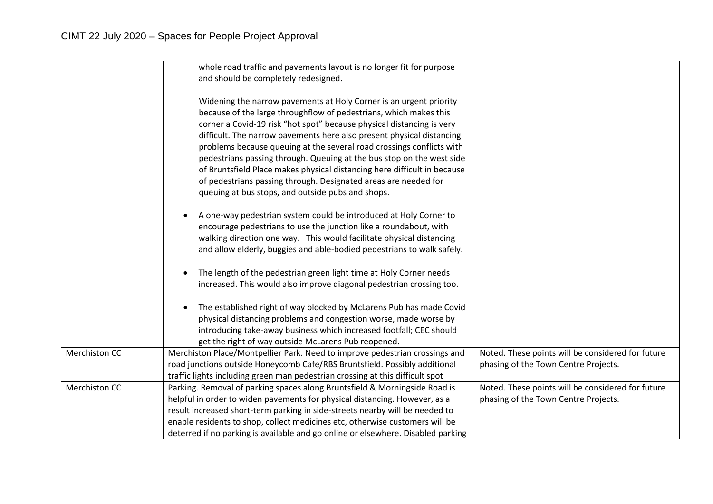|                      | whole road traffic and pavements layout is no longer fit for purpose<br>and should be completely redesigned.                                                                                                                                                                                                                                                                                                                                                                                                                                                                                                                                    |                                                                                           |
|----------------------|-------------------------------------------------------------------------------------------------------------------------------------------------------------------------------------------------------------------------------------------------------------------------------------------------------------------------------------------------------------------------------------------------------------------------------------------------------------------------------------------------------------------------------------------------------------------------------------------------------------------------------------------------|-------------------------------------------------------------------------------------------|
|                      | Widening the narrow pavements at Holy Corner is an urgent priority<br>because of the large throughflow of pedestrians, which makes this<br>corner a Covid-19 risk "hot spot" because physical distancing is very<br>difficult. The narrow pavements here also present physical distancing<br>problems because queuing at the several road crossings conflicts with<br>pedestrians passing through. Queuing at the bus stop on the west side<br>of Bruntsfield Place makes physical distancing here difficult in because<br>of pedestrians passing through. Designated areas are needed for<br>queuing at bus stops, and outside pubs and shops. |                                                                                           |
|                      | A one-way pedestrian system could be introduced at Holy Corner to<br>encourage pedestrians to use the junction like a roundabout, with<br>walking direction one way. This would facilitate physical distancing<br>and allow elderly, buggies and able-bodied pedestrians to walk safely.                                                                                                                                                                                                                                                                                                                                                        |                                                                                           |
|                      | The length of the pedestrian green light time at Holy Corner needs<br>increased. This would also improve diagonal pedestrian crossing too.                                                                                                                                                                                                                                                                                                                                                                                                                                                                                                      |                                                                                           |
|                      | The established right of way blocked by McLarens Pub has made Covid<br>physical distancing problems and congestion worse, made worse by<br>introducing take-away business which increased footfall; CEC should<br>get the right of way outside McLarens Pub reopened.                                                                                                                                                                                                                                                                                                                                                                           |                                                                                           |
| Merchiston CC        | Merchiston Place/Montpellier Park. Need to improve pedestrian crossings and<br>road junctions outside Honeycomb Cafe/RBS Bruntsfield. Possibly additional<br>traffic lights including green man pedestrian crossing at this difficult spot                                                                                                                                                                                                                                                                                                                                                                                                      | Noted. These points will be considered for future<br>phasing of the Town Centre Projects. |
| <b>Merchiston CC</b> | Parking. Removal of parking spaces along Bruntsfield & Morningside Road is<br>helpful in order to widen pavements for physical distancing. However, as a<br>result increased short-term parking in side-streets nearby will be needed to<br>enable residents to shop, collect medicines etc, otherwise customers will be<br>deterred if no parking is available and go online or elsewhere. Disabled parking                                                                                                                                                                                                                                    | Noted. These points will be considered for future<br>phasing of the Town Centre Projects. |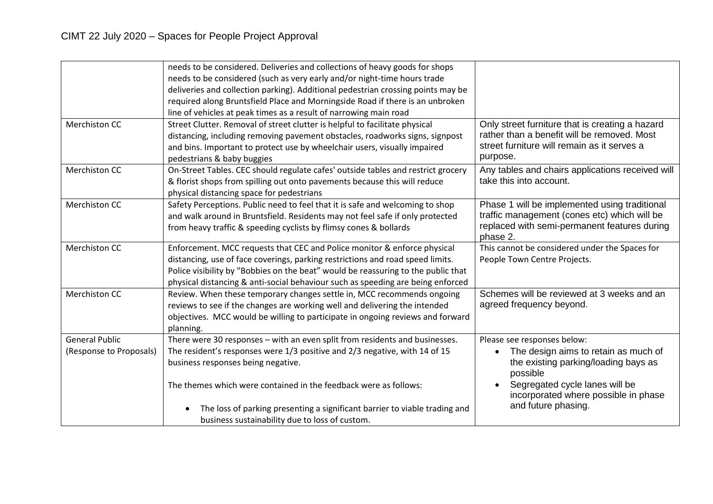|                         | needs to be considered. Deliveries and collections of heavy goods for shops       |                                                  |
|-------------------------|-----------------------------------------------------------------------------------|--------------------------------------------------|
|                         | needs to be considered (such as very early and/or night-time hours trade          |                                                  |
|                         | deliveries and collection parking). Additional pedestrian crossing points may be  |                                                  |
|                         | required along Bruntsfield Place and Morningside Road if there is an unbroken     |                                                  |
|                         | line of vehicles at peak times as a result of narrowing main road                 |                                                  |
| <b>Merchiston CC</b>    | Street Clutter. Removal of street clutter is helpful to facilitate physical       | Only street furniture that is creating a hazard  |
|                         | distancing, including removing pavement obstacles, roadworks signs, signpost      | rather than a benefit will be removed. Most      |
|                         | and bins. Important to protect use by wheelchair users, visually impaired         | street furniture will remain as it serves a      |
|                         | pedestrians & baby buggies                                                        | purpose.                                         |
| <b>Merchiston CC</b>    | On-Street Tables. CEC should regulate cafes' outside tables and restrict grocery  | Any tables and chairs applications received will |
|                         | & florist shops from spilling out onto pavements because this will reduce         | take this into account.                          |
|                         | physical distancing space for pedestrians                                         |                                                  |
| <b>Merchiston CC</b>    | Safety Perceptions. Public need to feel that it is safe and welcoming to shop     | Phase 1 will be implemented using traditional    |
|                         | and walk around in Bruntsfield. Residents may not feel safe if only protected     | traffic management (cones etc) which will be     |
|                         | from heavy traffic & speeding cyclists by flimsy cones & bollards                 | replaced with semi-permanent features during     |
|                         |                                                                                   | phase 2.                                         |
| <b>Merchiston CC</b>    | Enforcement. MCC requests that CEC and Police monitor & enforce physical          | This cannot be considered under the Spaces for   |
|                         | distancing, use of face coverings, parking restrictions and road speed limits.    | People Town Centre Projects.                     |
|                         | Police visibility by "Bobbies on the beat" would be reassuring to the public that |                                                  |
|                         | physical distancing & anti-social behaviour such as speeding are being enforced   |                                                  |
| <b>Merchiston CC</b>    | Review. When these temporary changes settle in, MCC recommends ongoing            | Schemes will be reviewed at 3 weeks and an       |
|                         | reviews to see if the changes are working well and delivering the intended        | agreed frequency beyond.                         |
|                         | objectives. MCC would be willing to participate in ongoing reviews and forward    |                                                  |
|                         | planning.                                                                         |                                                  |
| <b>General Public</b>   | There were 30 responses - with an even split from residents and businesses.       | Please see responses below:                      |
| (Response to Proposals) | The resident's responses were 1/3 positive and 2/3 negative, with 14 of 15        | The design aims to retain as much of             |
|                         | business responses being negative.                                                | the existing parking/loading bays as             |
|                         |                                                                                   | possible                                         |
|                         | The themes which were contained in the feedback were as follows:                  | Segregated cycle lanes will be<br>$\bullet$      |
|                         |                                                                                   | incorporated where possible in phase             |
|                         | The loss of parking presenting a significant barrier to viable trading and        | and future phasing.                              |
|                         | business sustainability due to loss of custom.                                    |                                                  |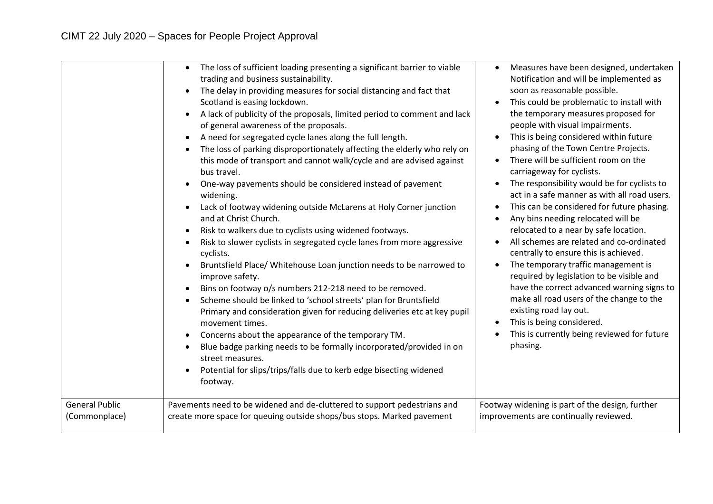|                       | The loss of sufficient loading presenting a significant barrier to viable<br>$\bullet$<br>trading and business sustainability.<br>The delay in providing measures for social distancing and fact that<br>Scotland is easing lockdown.<br>A lack of publicity of the proposals, limited period to comment and lack<br>of general awareness of the proposals.<br>A need for segregated cycle lanes along the full length.<br>The loss of parking disproportionately affecting the elderly who rely on<br>this mode of transport and cannot walk/cycle and are advised against<br>bus travel.<br>One-way pavements should be considered instead of pavement<br>widening.<br>Lack of footway widening outside McLarens at Holy Corner junction<br>and at Christ Church.<br>Risk to walkers due to cyclists using widened footways.<br>Risk to slower cyclists in segregated cycle lanes from more aggressive<br>cyclists.<br>Bruntsfield Place/ Whitehouse Loan junction needs to be narrowed to<br>improve safety.<br>Bins on footway o/s numbers 212-218 need to be removed.<br>Scheme should be linked to 'school streets' plan for Bruntsfield<br>Primary and consideration given for reducing deliveries etc at key pupil<br>movement times.<br>Concerns about the appearance of the temporary TM.<br>Blue badge parking needs to be formally incorporated/provided in on<br>street measures.<br>Potential for slips/trips/falls due to kerb edge bisecting widened<br>footway. | Measures have been designed, undertaken<br>$\bullet$<br>Notification and will be implemented as<br>soon as reasonable possible.<br>This could be problematic to install with<br>$\bullet$<br>the temporary measures proposed for<br>people with visual impairments.<br>This is being considered within future<br>$\bullet$<br>phasing of the Town Centre Projects.<br>There will be sufficient room on the<br>$\bullet$<br>carriageway for cyclists.<br>The responsibility would be for cyclists to<br>act in a safe manner as with all road users.<br>This can be considered for future phasing.<br>$\bullet$<br>Any bins needing relocated will be<br>$\bullet$<br>relocated to a near by safe location.<br>All schemes are related and co-ordinated<br>centrally to ensure this is achieved.<br>The temporary traffic management is<br>$\bullet$<br>required by legislation to be visible and<br>have the correct advanced warning signs to<br>make all road users of the change to the<br>existing road lay out.<br>This is being considered.<br>$\bullet$<br>This is currently being reviewed for future<br>phasing. |
|-----------------------|----------------------------------------------------------------------------------------------------------------------------------------------------------------------------------------------------------------------------------------------------------------------------------------------------------------------------------------------------------------------------------------------------------------------------------------------------------------------------------------------------------------------------------------------------------------------------------------------------------------------------------------------------------------------------------------------------------------------------------------------------------------------------------------------------------------------------------------------------------------------------------------------------------------------------------------------------------------------------------------------------------------------------------------------------------------------------------------------------------------------------------------------------------------------------------------------------------------------------------------------------------------------------------------------------------------------------------------------------------------------------------------------------------------------------------------------------------------------------------|---------------------------------------------------------------------------------------------------------------------------------------------------------------------------------------------------------------------------------------------------------------------------------------------------------------------------------------------------------------------------------------------------------------------------------------------------------------------------------------------------------------------------------------------------------------------------------------------------------------------------------------------------------------------------------------------------------------------------------------------------------------------------------------------------------------------------------------------------------------------------------------------------------------------------------------------------------------------------------------------------------------------------------------------------------------------------------------------------------------------------|
| <b>General Public</b> | Pavements need to be widened and de-cluttered to support pedestrians and                                                                                                                                                                                                                                                                                                                                                                                                                                                                                                                                                                                                                                                                                                                                                                                                                                                                                                                                                                                                                                                                                                                                                                                                                                                                                                                                                                                                         | Footway widening is part of the design, further                                                                                                                                                                                                                                                                                                                                                                                                                                                                                                                                                                                                                                                                                                                                                                                                                                                                                                                                                                                                                                                                           |
| (Commonplace)         | create more space for queuing outside shops/bus stops. Marked pavement                                                                                                                                                                                                                                                                                                                                                                                                                                                                                                                                                                                                                                                                                                                                                                                                                                                                                                                                                                                                                                                                                                                                                                                                                                                                                                                                                                                                           | improvements are continually reviewed.                                                                                                                                                                                                                                                                                                                                                                                                                                                                                                                                                                                                                                                                                                                                                                                                                                                                                                                                                                                                                                                                                    |